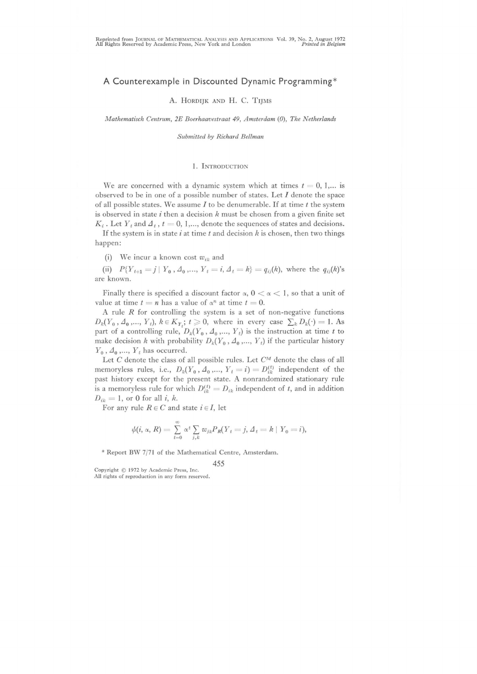# A Counterexample in Discounted Dynamic Programming\*

### **A.** HoRDJJK AND H. C. TIJMS

*Mathematisch Centrum, 2E Boerhaavestraat 49, Amsterdam (0), The Netherlands* 

*Submitted by Richard Bellman* 

#### **1.** INTRODUCTION

We are concerned with a dynamic system which at times  $t = 0, 1,...$  is observed to be in one of a possible number of states. Let *I* denote the space of all possible states. We assume *I* to be denumerable. If at time *t* the system is observed in state *i* then a decision k must be chosen from a given finite set  $K_i$ . Let  $Y_t$  and  $A_t$ ,  $t = 0, 1, \ldots$ , denote the sequences of states and decisions.

If the system is in state  $i$  at time  $t$  and decision  $k$  is chosen, then two things happen:

(i) We incur a known cost *wik* and

(ii)  $P{Y_{t+1} = j | Y_0, \Delta_0, ..., Y_t = i, \Delta_t = k} = q_{ij}(k)$ , where the  $q_{ij}(k)$ 's are known.

Finally there is specified a discount factor  $\alpha$ ,  $0 < \alpha < 1$ , so that a unit of value at time  $t = n$  has a value of  $\alpha^n$  at time  $t = 0$ .

A rule R for controlling the system is a set of non-negative functions  $D_k(Y_0, A_0, ..., Y_t), k \in K_Y; t \ge 0$ , where in every case  $\sum_k D_k(\cdot) = 1$ . As part of a controlling rule,  $D_k(Y_0, A_0, \ldots, Y_t)$  is the instruction at time *t* to make decision *k* with probability  $D_k(Y_0, \Delta_0, ..., Y_t)$  if the particular history  $Y_0$ ,  $\Delta_0$ ,...,  $Y_t$  has occurred.

Let  $C$  denote the class of all possible rules. Let  $C^M$  denote the class of all memoryless rules, i.e.,  $D_k(Y_0, \Delta_0, ..., Y_t = i) = D_{ik}^{(t)}$  independent of the past history except for the present state. A nonrandomized stationary rule is a memoryless rule for which  $D_{ik}^{(t)} = D_{ik}$  independent of *t*, and in addition  $D_{ik} = 1$ , or 0 for all *i*, *k*.

For any rule  $R \in C$  and state  $i \in I$ , let

$$
\psi(i,\alpha,R)=\sum_{t=0}^{\infty}\alpha^{t}\sum_{j,k}w_{jk}P_{R}(Y_{t}=j,A_{t}=k\mid Y_{0}=i),
$$

\* Report BW 7/71 of the Mathematical Centre, Amsterdam.

455 Copyright  $\odot$  1972 by Academic Press, Inc. **All rights of reproduction in any form reserved.**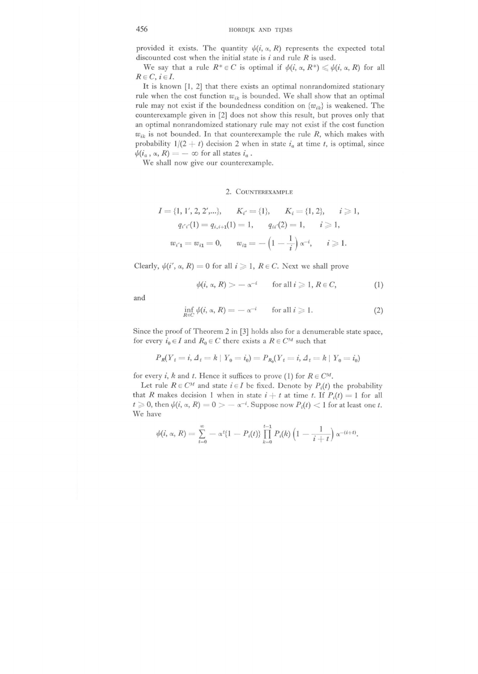provided it exists. The quantity  $\psi(i, \alpha, R)$  represents the expected total discounted cost when the initial state is *i* and rule R is used.

We say that a rule  $R^* \in C$  is optimal if  $\psi(i, \alpha, R^*) \leq \psi(i, \alpha, R)$  for all  $R \in C$ ,  $i \in I$ .

It is known [1, 2) that there exists an optimal nonrandomized stationary rule when the cost function  $w_{ik}$  is bounded. We shall show that an optimal rule may not exist if the boundedness condition on  $\{w_{ik}\}\$ is weakened. The counterexample given in [2) does not show this result, but proves only that an optimal nonrandomized stationary rule may not exist if the cost function  $w_{ik}$  is not bounded. In that counterexample the rule R, which makes with probability  $1/(2 + t)$  decision 2 when in state  $i_a$  at time t, is optimal, since  $\psi(i_a, \alpha, R) = -\infty$  for all states  $i_a$ .

We shall now give our counterexample.

## 2. COUNTEREXAMPLE

$$
I = \{1, 1', 2, 2', \ldots\}, \qquad K_{i'} = \{1\}, \qquad K_i = \{1, 2\}, \qquad i \geq 1,
$$
  

$$
q_{i'i'}(1) = q_{i, i+1}(1) = 1, \qquad q_{ii'}(2) = 1, \qquad i \geq 1,
$$
  

$$
w_{i'1} = w_{i1} = 0, \qquad w_{i2} = -\left(1 - \frac{1}{i}\right)\alpha^{-i}, \qquad i \geq 1.
$$

Clearly,  $\psi(i', \alpha, R) = 0$  for all  $i \geq 1$ ,  $R \in C$ . Next we shall prove

$$
\psi(i, \alpha, R) > -\alpha^{-i} \qquad \text{for all } i \geqslant 1, R \in C,\tag{1}
$$

and

$$
\inf_{R \in C} \psi(i, \alpha, R) = -\alpha^{-i} \qquad \text{for all } i \geq 1.
$$
 (2)

Since the proof of Theorem 2 in [3) holds also for a denumerable state space, for every  $i_0 \in I$  and  $R_0 \in C$  there exists a  $R \in C^M$  such that

$$
P_R(Y_t = i, \Delta_t = k \mid Y_0 = i_0) = P_{R_0}(Y_t = i, \Delta_t = k \mid Y_0 = i_0)
$$

for every *i*, *k* and *t*. Hence it suffices to prove (1) for  $R \in C^M$ .

Let rule  $R \in C^M$  and state  $i \in I$  be fixed. Denote by  $P_i(t)$  the probability that *R* makes decision 1 when in state  $i + t$  at time *t*. If  $P_i(t) = 1$  for all  $t \geqslant 0$ , then  $\psi(i, \alpha, R) = 0 > -\alpha^{-i}$ . Suppose now  $P_i(t) < 1$  for at least one *t*. We have

$$
\psi(i,\alpha,R)=\textstyle\sum\limits_{t=0}^\infty-\alpha^t\{1-P_i(t)\}\prod\limits_{k=0}^{t-1}P_i(k)\left(1-\frac{1}{i+t}\right)\alpha^{-(i+t)}.
$$